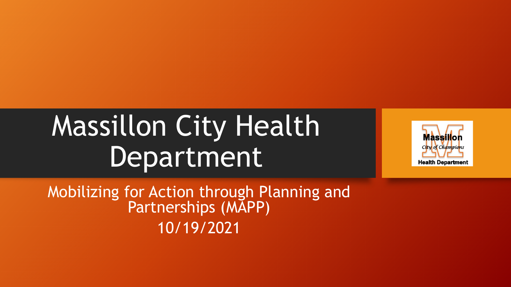# Massillon City Health Department



Mobilizing for Action through Planning and Partnerships (MAPP) 10/19/2021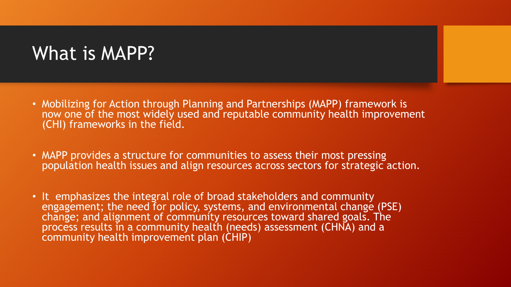### What is MAPP?

- Mobilizing for Action through Planning and Partnerships (MAPP) framework is now one of the most widely used and reputable community health improvement (CHI) frameworks in the field.
- MAPP provides a structure for communities to assess their most pressing population health issues and align resources across sectors for strategic action.
- It emphasizes the integral role of broad stakeholders and community engagement; the need for policy, systems, and environmental change (PSE) change; and alignment of community resources toward shared goals. The process results in a community health (needs) assessment (CHNA) and a community health improvement plan (CHIP)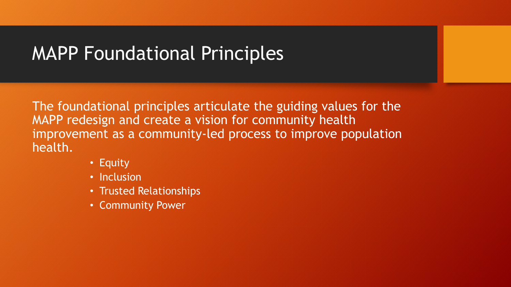## MAPP Foundational Principles

The foundational principles articulate the guiding values for the MAPP redesign and create a vision for community health improvement as a community-led process to improve population health.

- Equity
- Inclusion
- Trusted Relationships
- Community Power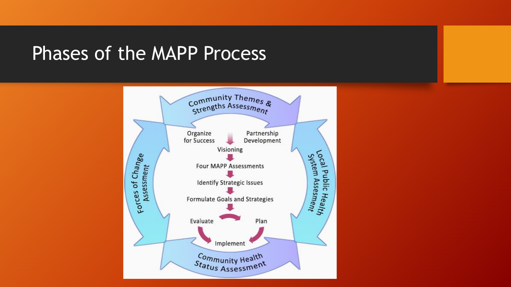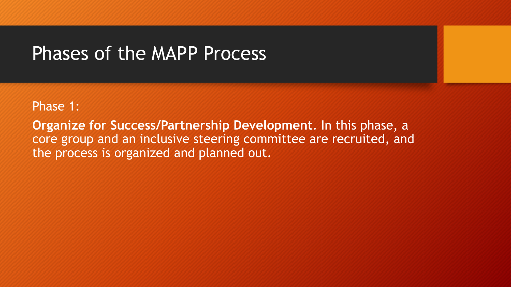#### Phase 1:

**Organize for Success/Partnership Development**. In this phase, a core group and an inclusive steering committee are recruited, and the process is organized and planned out.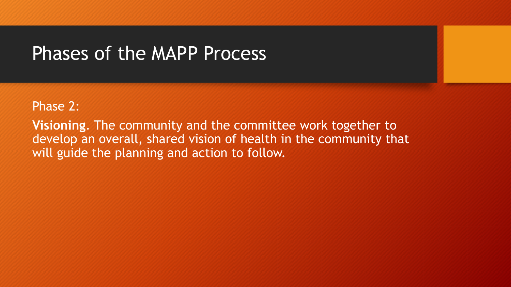#### Phase 2:

**Visioning**. The community and the committee work together to develop an overall, shared vision of health in the community that will guide the planning and action to follow.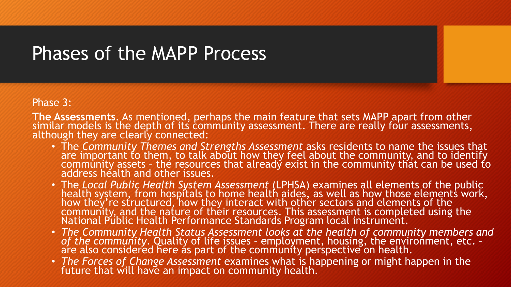Phase 3:

**The Assessments**. As mentioned, perhaps the main feature that sets MAPP apart from other similar models is the depth of its community assessment. There are really four assessments, although they are clearly connected:

- The *Community Themes and Strengths Assessment* asks residents to name the issues that are important to them, to talk about how they feel about the community, and to identify community assets - the resources that already exist in the community that can be used to address health and other issues.
- The *Local Public Health System Assessment* (LPHSA) examines all elements of the public health system, from hospitals to home health aides, as well as how those elements work, how they're structured, how they interact with other sectors and elements of the community, and the nature of their resources. This assessment is completed using the National Públic Health Performance Standards Program local instrument.
- *The Community Health Status Assessment looks at the health of community members and of the community*. Quality of life issues – employment, housing, the environment, etc. – are also considered here as part of the community perspective on health.
- *The Forces of Change Assessment* examines what is happening or might happen in the future that will have an impact on community health.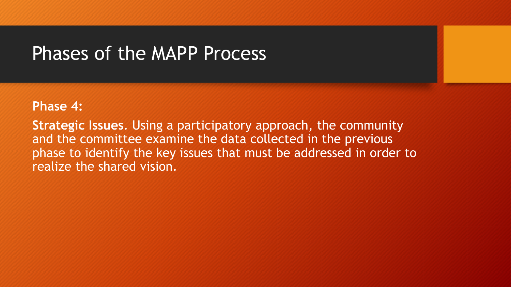#### **Phase 4:**

**Strategic Issues**. Using a participatory approach, the community and the committee examine the data collected in the previous phase to identify the key issues that must be addressed in order to realize the shared vision.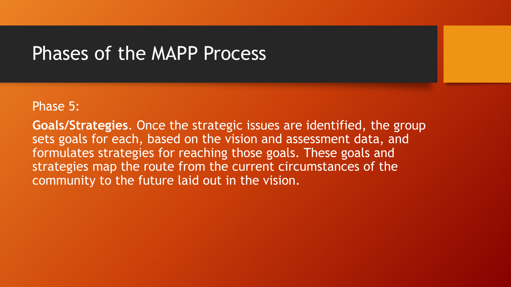#### Phase 5:

**Goals/Strategies**. Once the strategic issues are identified, the group sets goals for each, based on the vision and assessment data, and formulates strategies for reaching those goals. These goals and strategies map the route from the current circumstances of the community to the future laid out in the vision.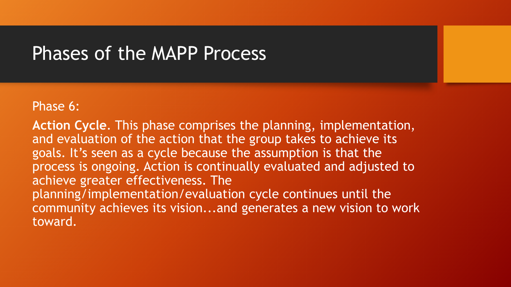#### Phase 6:

**Action Cycle**. This phase comprises the planning, implementation, and evaluation of the action that the group takes to achieve its goals. It's seen as a cycle because the assumption is that the process is ongoing. Action is continually evaluated and adjusted to achieve greater effectiveness. The planning/implementation/evaluation cycle continues until the community achieves its vision...and generates a new vision to work toward.